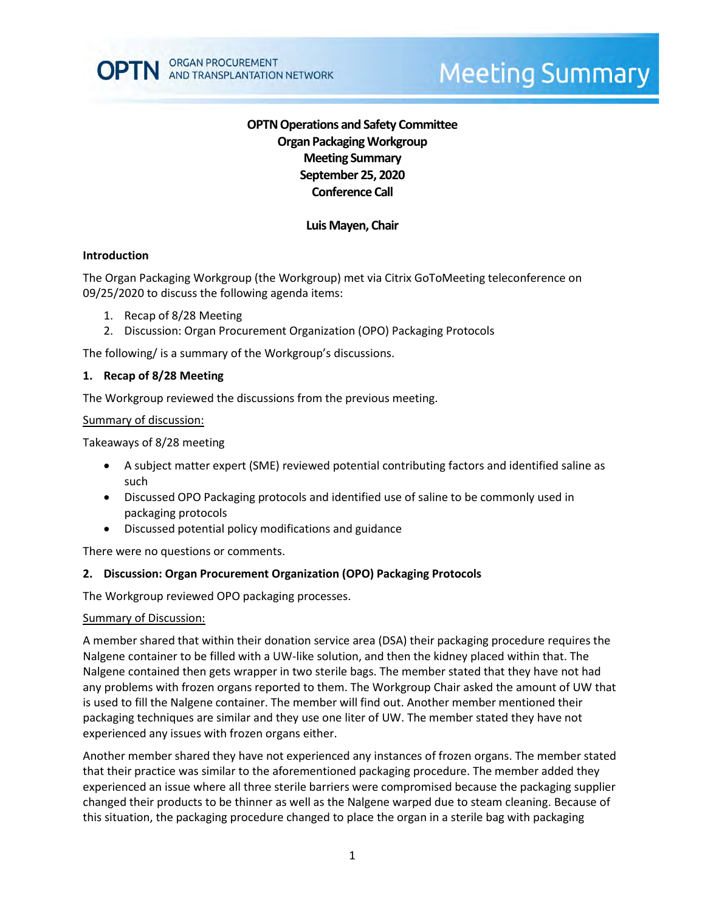

# **Meeting Summary**

# **OPTN Operations and Safety Committee Organ Packaging Workgroup Meeting Summary September 25, 2020 Conference Call**

# **Luis Mayen, Chair**

#### **Introduction**

The Organ Packaging Workgroup (the Workgroup) met via Citrix GoToMeeting teleconference on 09/25/2020 to discuss the following agenda items:

- 1. Recap of 8/28 Meeting
- 2. Discussion: Organ Procurement Organization (OPO) Packaging Protocols

The following/ is a summary of the Workgroup's discussions.

#### **1. Recap of 8/28 Meeting**

The Workgroup reviewed the discussions from the previous meeting.

#### Summary of discussion:

Takeaways of 8/28 meeting

- A subject matter expert (SME) reviewed potential contributing factors and identified saline as such
- Discussed OPO Packaging protocols and identified use of saline to be commonly used in packaging protocols
- Discussed potential policy modifications and guidance

There were no questions or comments.

#### **2. Discussion: Organ Procurement Organization (OPO) Packaging Protocols**

The Workgroup reviewed OPO packaging processes.

#### Summary of Discussion:

A member shared that within their donation service area (DSA) their packaging procedure requires the Nalgene container to be filled with a UW-like solution, and then the kidney placed within that. The Nalgene contained then gets wrapper in two sterile bags. The member stated that they have not had any problems with frozen organs reported to them. The Workgroup Chair asked the amount of UW that is used to fill the Nalgene container. The member will find out. Another member mentioned their packaging techniques are similar and they use one liter of UW. The member stated they have not experienced any issues with frozen organs either.

Another member shared they have not experienced any instances of frozen organs. The member stated that their practice was similar to the aforementioned packaging procedure. The member added they experienced an issue where all three sterile barriers were compromised because the packaging supplier changed their products to be thinner as well as the Nalgene warped due to steam cleaning. Because of this situation, the packaging procedure changed to place the organ in a sterile bag with packaging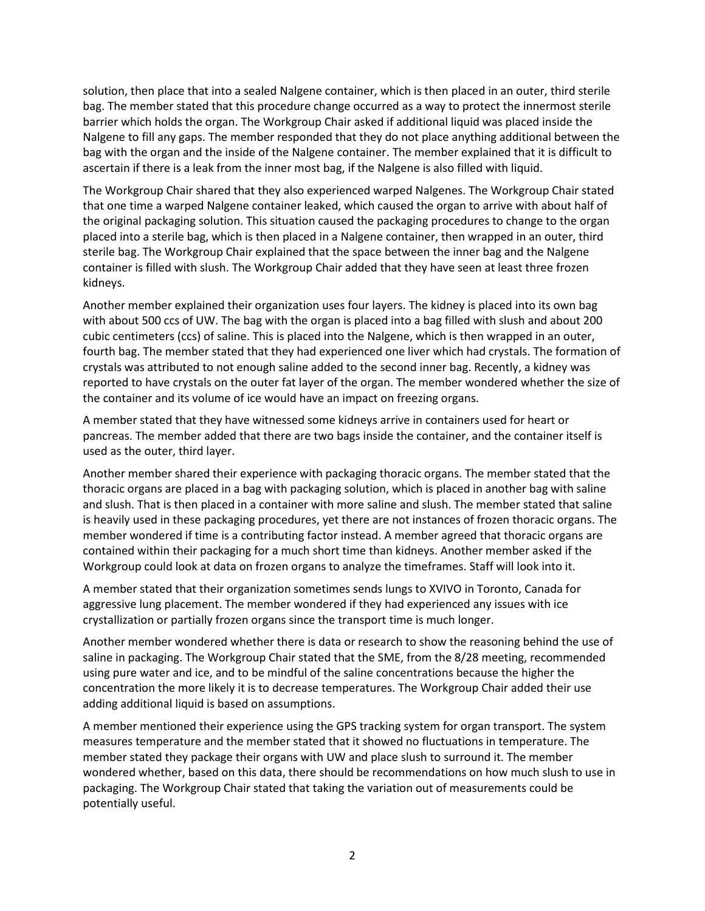solution, then place that into a sealed Nalgene container, which is then placed in an outer, third sterile bag. The member stated that this procedure change occurred as a way to protect the innermost sterile barrier which holds the organ. The Workgroup Chair asked if additional liquid was placed inside the Nalgene to fill any gaps. The member responded that they do not place anything additional between the bag with the organ and the inside of the Nalgene container. The member explained that it is difficult to ascertain if there is a leak from the inner most bag, if the Nalgene is also filled with liquid.

The Workgroup Chair shared that they also experienced warped Nalgenes. The Workgroup Chair stated that one time a warped Nalgene container leaked, which caused the organ to arrive with about half of the original packaging solution. This situation caused the packaging procedures to change to the organ placed into a sterile bag, which is then placed in a Nalgene container, then wrapped in an outer, third sterile bag. The Workgroup Chair explained that the space between the inner bag and the Nalgene container is filled with slush. The Workgroup Chair added that they have seen at least three frozen kidneys.

Another member explained their organization uses four layers. The kidney is placed into its own bag with about 500 ccs of UW. The bag with the organ is placed into a bag filled with slush and about 200 cubic centimeters (ccs) of saline. This is placed into the Nalgene, which is then wrapped in an outer, fourth bag. The member stated that they had experienced one liver which had crystals. The formation of crystals was attributed to not enough saline added to the second inner bag. Recently, a kidney was reported to have crystals on the outer fat layer of the organ. The member wondered whether the size of the container and its volume of ice would have an impact on freezing organs.

A member stated that they have witnessed some kidneys arrive in containers used for heart or pancreas. The member added that there are two bags inside the container, and the container itself is used as the outer, third layer.

Another member shared their experience with packaging thoracic organs. The member stated that the thoracic organs are placed in a bag with packaging solution, which is placed in another bag with saline and slush. That is then placed in a container with more saline and slush. The member stated that saline is heavily used in these packaging procedures, yet there are not instances of frozen thoracic organs. The member wondered if time is a contributing factor instead. A member agreed that thoracic organs are contained within their packaging for a much short time than kidneys. Another member asked if the Workgroup could look at data on frozen organs to analyze the timeframes. Staff will look into it.

A member stated that their organization sometimes sends lungs to XVIVO in Toronto, Canada for aggressive lung placement. The member wondered if they had experienced any issues with ice crystallization or partially frozen organs since the transport time is much longer.

Another member wondered whether there is data or research to show the reasoning behind the use of saline in packaging. The Workgroup Chair stated that the SME, from the 8/28 meeting, recommended using pure water and ice, and to be mindful of the saline concentrations because the higher the concentration the more likely it is to decrease temperatures. The Workgroup Chair added their use adding additional liquid is based on assumptions.

A member mentioned their experience using the GPS tracking system for organ transport. The system measures temperature and the member stated that it showed no fluctuations in temperature. The member stated they package their organs with UW and place slush to surround it. The member wondered whether, based on this data, there should be recommendations on how much slush to use in packaging. The Workgroup Chair stated that taking the variation out of measurements could be potentially useful.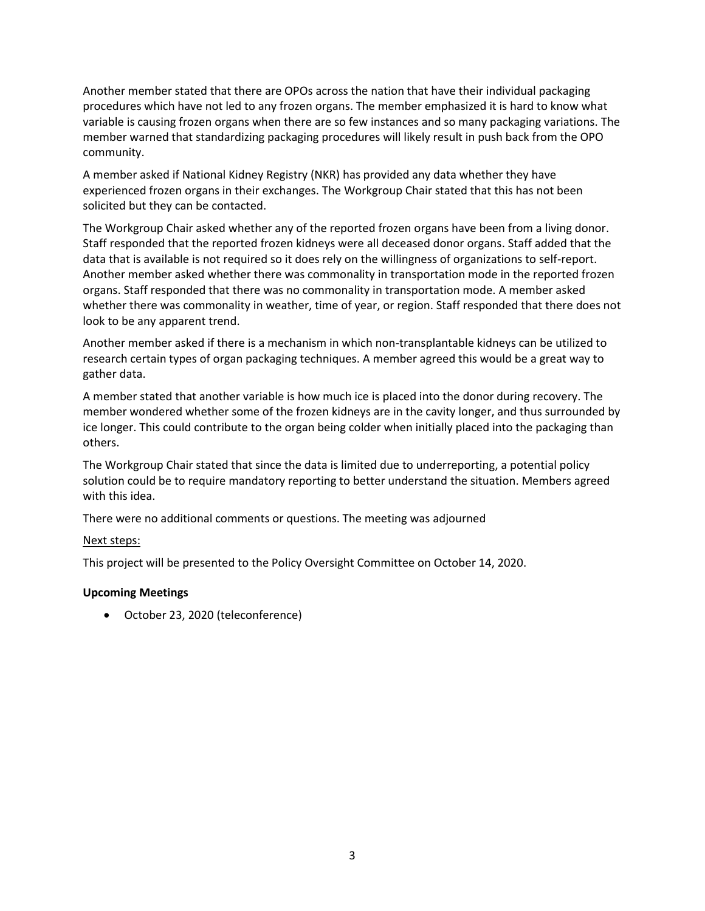Another member stated that there are OPOs across the nation that have their individual packaging procedures which have not led to any frozen organs. The member emphasized it is hard to know what variable is causing frozen organs when there are so few instances and so many packaging variations. The member warned that standardizing packaging procedures will likely result in push back from the OPO community.

A member asked if National Kidney Registry (NKR) has provided any data whether they have experienced frozen organs in their exchanges. The Workgroup Chair stated that this has not been solicited but they can be contacted.

The Workgroup Chair asked whether any of the reported frozen organs have been from a living donor. Staff responded that the reported frozen kidneys were all deceased donor organs. Staff added that the data that is available is not required so it does rely on the willingness of organizations to self-report. Another member asked whether there was commonality in transportation mode in the reported frozen organs. Staff responded that there was no commonality in transportation mode. A member asked whether there was commonality in weather, time of year, or region. Staff responded that there does not look to be any apparent trend.

Another member asked if there is a mechanism in which non-transplantable kidneys can be utilized to research certain types of organ packaging techniques. A member agreed this would be a great way to gather data.

A member stated that another variable is how much ice is placed into the donor during recovery. The member wondered whether some of the frozen kidneys are in the cavity longer, and thus surrounded by ice longer. This could contribute to the organ being colder when initially placed into the packaging than others.

The Workgroup Chair stated that since the data is limited due to underreporting, a potential policy solution could be to require mandatory reporting to better understand the situation. Members agreed with this idea.

There were no additional comments or questions. The meeting was adjourned

### Next steps:

This project will be presented to the Policy Oversight Committee on October 14, 2020.

# **Upcoming Meetings**

October 23, 2020 (teleconference)